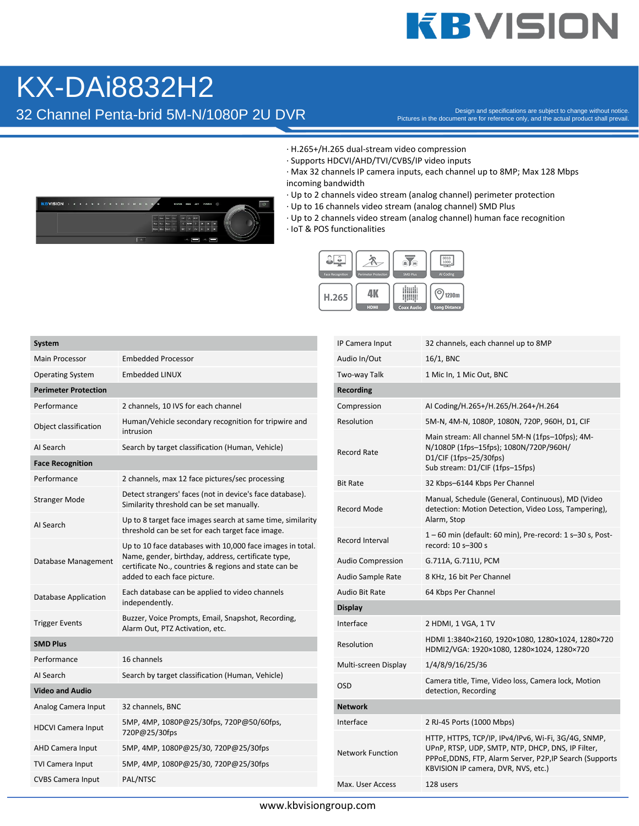## **KBVISION**

## KX-DAi8832H2

32 Channel Penta-brid 5M-N/1080P 2U DVR

Pictures in the document are for reference only, and the actual product shall prevail.

- · H.265+/H.265 dual-stream video compression
- · Supports HDCVI/AHD/TVI/CVBS/IP video inputs
- · Max 32 channels IP camera inputs, each channel up to 8MP; Max 128 Mbps incoming bandwidth
- · Up to 2 channels video stream (analog channel) perimeter protection
- · Up to 16 channels video stream (analog channel) SMD Plus
- · Up to 2 channels video stream (analog channel) human face recognition
- · IoT & POS functionalities



| <b>System</b>               |                                                                                                                                                                                                         |  |  |  |
|-----------------------------|---------------------------------------------------------------------------------------------------------------------------------------------------------------------------------------------------------|--|--|--|
| <b>Main Processor</b>       | <b>Embedded Processor</b>                                                                                                                                                                               |  |  |  |
| <b>Operating System</b>     | <b>Embedded LINUX</b>                                                                                                                                                                                   |  |  |  |
| <b>Perimeter Protection</b> |                                                                                                                                                                                                         |  |  |  |
| Performance                 | 2 channels, 10 IVS for each channel                                                                                                                                                                     |  |  |  |
| Object classification       | Human/Vehicle secondary recognition for tripwire and<br>intrusion                                                                                                                                       |  |  |  |
| AI Search                   | Search by target classification (Human, Vehicle)                                                                                                                                                        |  |  |  |
| <b>Face Recognition</b>     |                                                                                                                                                                                                         |  |  |  |
| Performance                 | 2 channels, max 12 face pictures/sec processing                                                                                                                                                         |  |  |  |
| <b>Stranger Mode</b>        | Detect strangers' faces (not in device's face database).<br>Similarity threshold can be set manually.                                                                                                   |  |  |  |
| AI Search                   | Up to 8 target face images search at same time, similarity<br>threshold can be set for each target face image.                                                                                          |  |  |  |
| Database Management         | Up to 10 face databases with 10,000 face images in total.<br>Name, gender, birthday, address, certificate type,<br>certificate No., countries & regions and state can be<br>added to each face picture. |  |  |  |
| Database Application        | Each database can be applied to video channels<br>independently.                                                                                                                                        |  |  |  |
| <b>Trigger Events</b>       | Buzzer, Voice Prompts, Email, Snapshot, Recording,<br>Alarm Out, PTZ Activation, etc.                                                                                                                   |  |  |  |
| <b>SMD Plus</b>             |                                                                                                                                                                                                         |  |  |  |
| Performance                 | 16 channels                                                                                                                                                                                             |  |  |  |
| AI Search                   | Search by target classification (Human, Vehicle)                                                                                                                                                        |  |  |  |
| <b>Video and Audio</b>      |                                                                                                                                                                                                         |  |  |  |
| Analog Camera Input         | 32 channels, BNC                                                                                                                                                                                        |  |  |  |
| <b>HDCVI Camera Input</b>   | 5MP, 4MP, 1080P@25/30fps, 720P@50/60fps,<br>720P@25/30fps                                                                                                                                               |  |  |  |
| <b>AHD Camera Input</b>     | 5MP, 4MP, 1080P@25/30, 720P@25/30fps                                                                                                                                                                    |  |  |  |
| TVI Camera Input            | 5MP, 4MP, 1080P@25/30, 720P@25/30fps                                                                                                                                                                    |  |  |  |
| <b>CVBS Camera Input</b>    | PAL/NTSC                                                                                                                                                                                                |  |  |  |

| IP Camera Input          | 32 channels, each channel up to 8MP                                                                                                                                                                         |
|--------------------------|-------------------------------------------------------------------------------------------------------------------------------------------------------------------------------------------------------------|
| Audio In/Out             | $16/1$ , BNC                                                                                                                                                                                                |
| Two-way Talk             | 1 Mic In, 1 Mic Out, BNC                                                                                                                                                                                    |
| Recording                |                                                                                                                                                                                                             |
| Compression              | AI Coding/H.265+/H.265/H.264+/H.264                                                                                                                                                                         |
| Resolution               | 5M-N, 4M-N, 1080P, 1080N, 720P, 960H, D1, CIF                                                                                                                                                               |
| <b>Record Rate</b>       | Main stream: All channel 5M-N (1fps-10fps); 4M-<br>N/1080P (1fps-15fps); 1080N/720P/960H/<br>D1/CIF (1fps-25/30fps)<br>Sub stream: D1/CIF (1fps-15fps)                                                      |
| <b>Bit Rate</b>          | 32 Kbps-6144 Kbps Per Channel                                                                                                                                                                               |
| Record Mode              | Manual, Schedule (General, Continuous), MD (Video<br>detection: Motion Detection, Video Loss, Tampering),<br>Alarm, Stop                                                                                    |
| Record Interval          | $1-60$ min (default: 60 min), Pre-record: 1 s-30 s, Post-<br>record: 10 s-300 s                                                                                                                             |
| <b>Audio Compression</b> | G.711A, G.711U, PCM                                                                                                                                                                                         |
| Audio Sample Rate        | 8 KHz, 16 bit Per Channel                                                                                                                                                                                   |
| Audio Bit Rate           | 64 Kbps Per Channel                                                                                                                                                                                         |
| <b>Display</b>           |                                                                                                                                                                                                             |
| Interface                | 2 HDMI, 1 VGA, 1 TV                                                                                                                                                                                         |
| Resolution               | HDMI 1:3840×2160, 1920×1080, 1280×1024, 1280×720<br>HDMI2/VGA: 1920×1080, 1280×1024, 1280×720                                                                                                               |
| Multi-screen Display     | 1/4/8/9/16/25/36                                                                                                                                                                                            |
| <b>OSD</b>               | Camera title, Time, Video loss, Camera lock, Motion<br>detection, Recording                                                                                                                                 |
| <b>Network</b>           |                                                                                                                                                                                                             |
| Interface                | 2 RJ-45 Ports (1000 Mbps)                                                                                                                                                                                   |
| <b>Network Function</b>  | HTTP, HTTPS, TCP/IP, IPv4/IPv6, Wi-Fi, 3G/4G, SNMP,<br>UPnP, RTSP, UDP, SMTP, NTP, DHCP, DNS, IP Filter,<br>PPPoE, DDNS, FTP, Alarm Server, P2P, IP Search (Supports<br>KBVISION IP camera, DVR, NVS, etc.) |
| Max. User Access         | 128 users                                                                                                                                                                                                   |